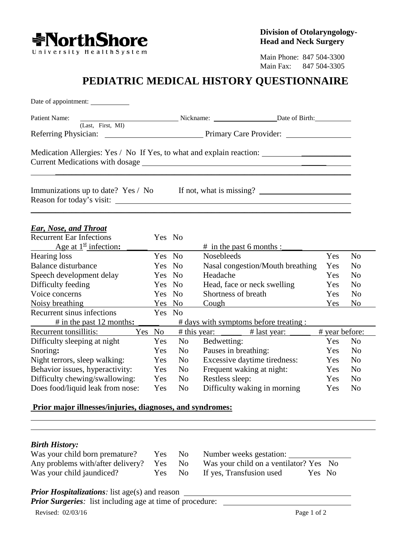

Main Phone: 847 504-3300 Main Fax: 847 504-3305

## **PEDIATRIC MEDICAL HISTORY QUESTIONNAIRE**

| Date of appointment:                                                              |  |  |  |  |  |
|-----------------------------------------------------------------------------------|--|--|--|--|--|
|                                                                                   |  |  |  |  |  |
| (Last, First, MI)                                                                 |  |  |  |  |  |
|                                                                                   |  |  |  |  |  |
| Medication Allergies: Yes / No If Yes, to what and explain reaction: ____________ |  |  |  |  |  |
| Immunizations up to date? Yes / No If not, what is missing?                       |  |  |  |  |  |
|                                                                                   |  |  |  |  |  |

## *Ear, Nose, and Throat*

| <b>Recurrent Ear Infections</b>               | Yes No |                |                                        |                |                |
|-----------------------------------------------|--------|----------------|----------------------------------------|----------------|----------------|
| Age at $1^{\underline{\text{st}}}$ infection: |        |                | # in the past 6 months :               |                |                |
| Hearing loss                                  | Yes No |                | <b>Nosebleeds</b>                      | Yes            | N <sub>o</sub> |
| Balance disturbance                           | Yes No |                | Nasal congestion/Mouth breathing       | Yes            | N <sub>0</sub> |
| Speech development delay                      | Yes No |                | Headache                               | Yes            | N <sub>0</sub> |
| Difficulty feeding                            | Yes No |                | Head, face or neck swelling            | Yes            | N <sub>0</sub> |
| Voice concerns                                | Yes No |                | Shortness of breath                    | Yes            | N <sub>0</sub> |
| Noisy breathing                               | Yes    | No             | Cough                                  | Yes            | N <sub>o</sub> |
| Recurrent sinus infections                    | Yes No |                |                                        |                |                |
| $#$ in the past 12 months:                    |        |                | # days with symptoms before treating : |                |                |
| Recurrent tonsillitis:<br>Yes No              |        | $#$ this year: | # last year:                           | # year before: |                |
| Difficulty sleeping at night                  | Yes    | N <sub>o</sub> | Bedwetting:                            | Yes            | N <sub>o</sub> |
| Snoring:                                      | Yes    | N <sub>o</sub> | Pauses in breathing:                   | Yes            | N <sub>0</sub> |
| Night terrors, sleep walking:                 | Yes    | N <sub>o</sub> | Excessive daytime tiredness:           | Yes            | N <sub>0</sub> |
| Behavior issues, hyperactivity:               | Yes    | N <sub>o</sub> | Frequent waking at night:              | Yes            | N <sub>0</sub> |
| Difficulty chewing/swallowing:                | Yes    | N <sub>o</sub> | Restless sleep:                        | Yes            | N <sub>0</sub> |
| Does food/liquid leak from nose:              | Yes    | N <sub>o</sub> | Difficulty waking in morning           | Yes            | N <sub>0</sub> |

## **Prior major illnesses/injuries, diagnoses, and syndromes:**

## *Birth History:*

| Was your child born premature? | Yes No | Number weeks gestation:                                                         |
|--------------------------------|--------|---------------------------------------------------------------------------------|
|                                |        | Any problems with/after delivery? Yes No Was your child on a ventilator? Yes No |
| Was your child jaundiced?      |        | Yes No If yes, Transfusion used<br>Yes No                                       |

*Prior Hospitalizations:* list age(s) and reason

*Prior Surgeries*: list including age at time of procedure: